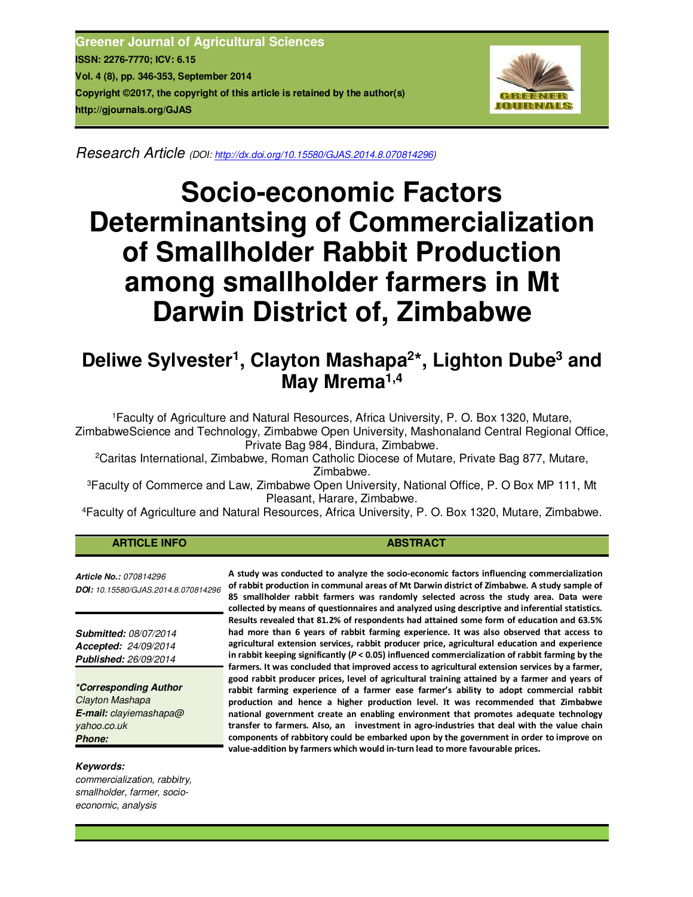**Greener Journal of Agricultural Sciences ISSN: 2276-7770; ICV: 6.15 Vol. 4 (8), pp. 346-353, September 2014 Copyright ©2017, the copyright of this article is retained by the author(s) http://gjournals.org/GJAS**



*Research Article (DOI: http://dx.doi.org/10.15580/GJAS.2014.8.070814296)*

# **Socio-economic Factors Determinantsing of Commercialization of Smallholder Rabbit Production among smallholder farmers in Mt Darwin District of, Zimbabwe**

## **Deliwe Sylvester<sup>1</sup> , Clayton Mashapa<sup>2</sup> \*, Lighton Dube<sup>3</sup> and May Mrema1,4**

<sup>1</sup>Faculty of Agriculture and Natural Resources, Africa University, P. O. Box 1320, Mutare, ZimbabweScience and Technology, Zimbabwe Open University, Mashonaland Central Regional Office, Private Bag 984, Bindura, Zimbabwe.

<sup>2</sup>Caritas International, Zimbabwe, Roman Catholic Diocese of Mutare, Private Bag 877, Mutare, Zimbabwe.

<sup>3</sup>Faculty of Commerce and Law, Zimbabwe Open University, National Office, P. O Box MP 111, Mt Pleasant, Harare, Zimbabwe.

<sup>4</sup>Faculty of Agriculture and Natural Resources, Africa University, P. O. Box 1320, Mutare, Zimbabwe.

### **ARTICLE INFO ABSTRACT**

*Article No.: 070814296 DOI: 10.15580/GJAS.2014.8.070814296*

*Submitted: 08/07/2014 Accepted: 24/09/2014 Published: 26/09/2014*

*\*Corresponding Author Clayton Mashapa E-mail: clayiemashapa@ yahoo.co.uk Phone:*

**A study was conducted to analyze the socio-economic factors influencing commercialization of rabbit production in communal areas of Mt Darwin district of Zimbabwe. A study sample of 85 smallholder rabbit farmers was randomly selected across the study area. Data were collected by means of questionnaires and analyzed using descriptive and inferential statistics. Results revealed that 81.2% of respondents had attained some form of education and 63.5% had more than 6 years of rabbit farming experience. It was also observed that access to agricultural extension services, rabbit producer price, agricultural education and experience in rabbit keeping significantly (***P* **< 0.05) influenced commercialization of rabbit farming by the farmers. It was concluded that improved access to agricultural extension services by a farmer, good rabbit producer prices, level of agricultural training attained by a farmer and years of rabbit farming experience of a farmer ease farmer's ability to adopt commercial rabbit production and hence a higher production level. It was recommended that Zimbabwe national government create an enabling environment that promotes adequate technology transfer to farmers. Also, an investment in agro-industries that deal with the value chain components of rabbitory could be embarked upon by the government in order to improve on value-addition by farmers which would in-turn lead to more favourable prices.** 

*Keywords: commercialization, rabbitry, smallholder, farmer, socio-*

*economic, analysis*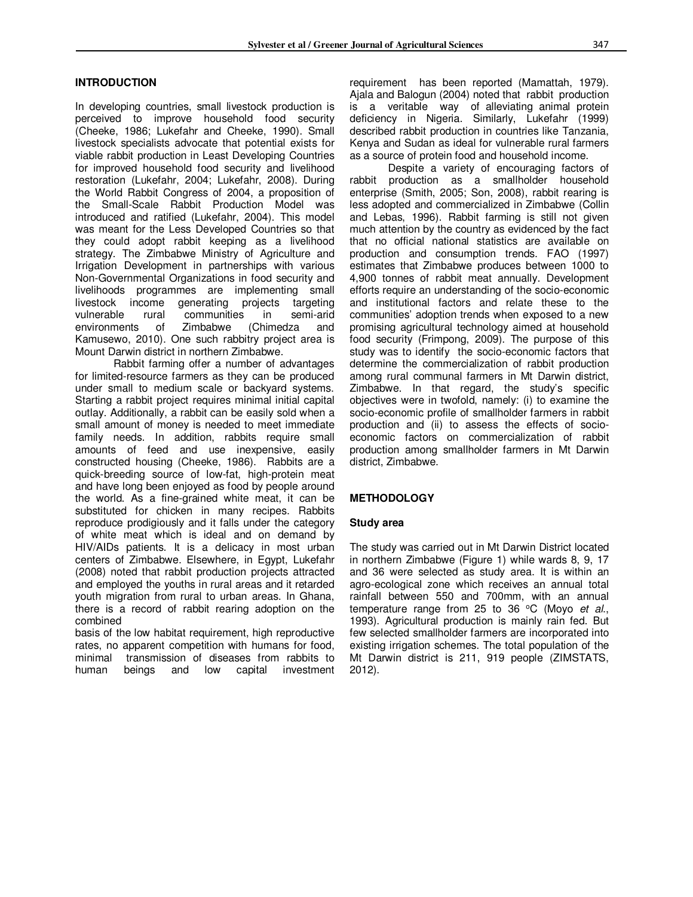#### **INTRODUCTION**

In developing countries, small livestock production is perceived to improve household food security (Cheeke, 1986; Lukefahr and Cheeke, 1990). Small livestock specialists advocate that potential exists for viable rabbit production in Least Developing Countries for improved household food security and livelihood restoration (Lukefahr, 2004; Lukefahr, 2008). During the World Rabbit Congress of 2004, a proposition of the Small-Scale Rabbit Production Model was introduced and ratified (Lukefahr, 2004). This model was meant for the Less Developed Countries so that they could adopt rabbit keeping as a livelihood strategy. The Zimbabwe Ministry of Agriculture and Irrigation Development in partnerships with various Non-Governmental Organizations in food security and livelihoods programmes are implementing small generating projects targeting vulnerable rural communities in semi-arid environments of Zimbabwe (Chimedza and Kamusewo, 2010). One such rabbitry project area is Mount Darwin district in northern Zimbabwe.

Rabbit farming offer a number of advantages for limited-resource farmers as they can be produced under small to medium scale or backyard systems. Starting a rabbit project requires minimal initial capital outlay. Additionally, a rabbit can be easily sold when a small amount of money is needed to meet immediate family needs. In addition, rabbits require small amounts of feed and use inexpensive, easily constructed housing (Cheeke, 1986). Rabbits are a quick-breeding source of low-fat, high-protein meat and have long been enjoyed as food by people around the world. As a fine-grained white meat, it can be substituted for chicken in many recipes. Rabbits reproduce prodigiously and it falls under the category of white meat which is ideal and on demand by HIV/AIDs patients. It is a delicacy in most urban centers of Zimbabwe. Elsewhere, in Egypt, Lukefahr (2008) noted that rabbit production projects attracted and employed the youths in rural areas and it retarded youth migration from rural to urban areas. In Ghana, there is a record of rabbit rearing adoption on the combined

basis of the low habitat requirement, high reproductive rates, no apparent competition with humans for food, minimal transmission of diseases from rabbits to human beings and low capital investment requirement has been reported (Mamattah, 1979). Ajala and Balogun (2004) noted that rabbit production is a veritable way of alleviating animal protein deficiency in Nigeria. Similarly, Lukefahr (1999) described rabbit production in countries like Tanzania, Kenya and Sudan as ideal for vulnerable rural farmers as a source of protein food and household income.

Despite a variety of encouraging factors of rabbit production as a smallholder household enterprise (Smith, 2005; Son, 2008), rabbit rearing is less adopted and commercialized in Zimbabwe (Collin and Lebas, 1996). Rabbit farming is still not given much attention by the country as evidenced by the fact that no official national statistics are available on production and consumption trends. FAO (1997) estimates that Zimbabwe produces between 1000 to 4,900 tonnes of rabbit meat annually. Development efforts require an understanding of the socio-economic and institutional factors and relate these to the communities' adoption trends when exposed to a new promising agricultural technology aimed at household food security (Frimpong, 2009). The purpose of this study was to identify the socio-economic factors that determine the commercialization of rabbit production among rural communal farmers in Mt Darwin district, Zimbabwe. In that regard, the study's specific objectives were in twofold, namely: (i) to examine the socio-economic profile of smallholder farmers in rabbit production and (ii) to assess the effects of socioeconomic factors on commercialization of rabbit production among smallholder farmers in Mt Darwin district, Zimbabwe.

#### **METHODOLOGY**

#### **Study area**

The study was carried out in Mt Darwin District located in northern Zimbabwe (Figure 1) while wards 8, 9, 17 and 36 were selected as study area. It is within an agro-ecological zone which receives an annual total rainfall between 550 and 700mm, with an annual temperature range from 25 to 36 °C (Moyo *et al.*, 1993). Agricultural production is mainly rain fed. But few selected smallholder farmers are incorporated into existing irrigation schemes. The total population of the Mt Darwin district is 211, 919 people (ZIMSTATS, 2012).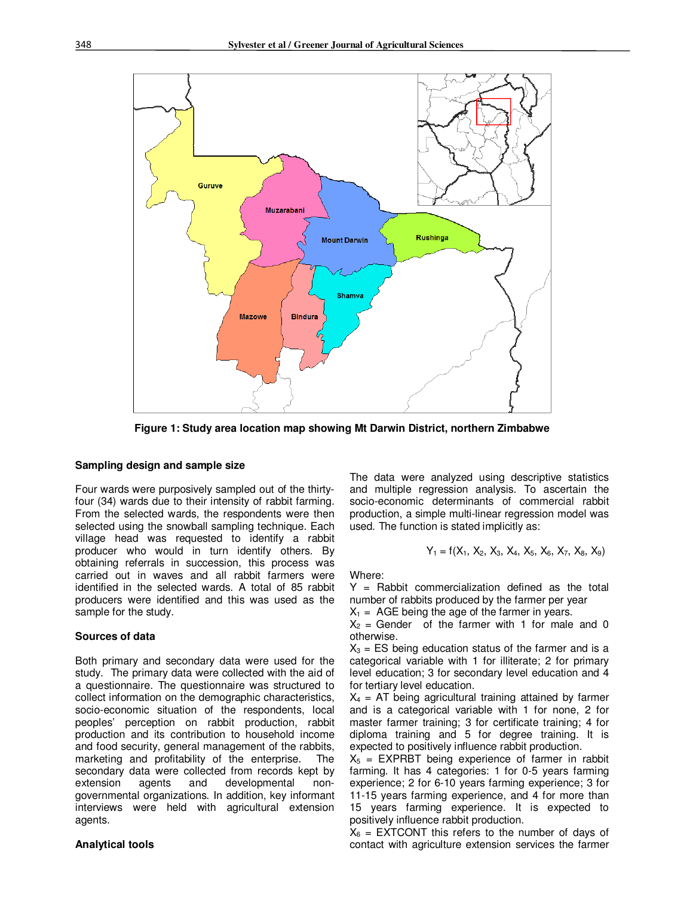

**Figure 1: Study area location map showing Mt Darwin District, northern Zimbabwe** 

#### **Sampling design and sample size**

Four wards were purposively sampled out of the thirtyfour (34) wards due to their intensity of rabbit farming. From the selected wards, the respondents were then selected using the snowball sampling technique. Each village head was requested to identify a rabbit producer who would in turn identify others. By obtaining referrals in succession, this process was carried out in waves and all rabbit farmers were identified in the selected wards. A total of 85 rabbit producers were identified and this was used as the sample for the study.

#### **Sources of data**

Both primary and secondary data were used for the study. The primary data were collected with the aid of a questionnaire. The questionnaire was structured to collect information on the demographic characteristics, socio-economic situation of the respondents, local peoples' perception on rabbit production, rabbit production and its contribution to household income and food security, general management of the rabbits, marketing and profitability of the enterprise. The secondary data were collected from records kept by<br>extension agents and developmental nonextension agents and developmental nongovernmental organizations. In addition, key informant interviews were held with agricultural extension agents.

#### **Analytical tools**

The data were analyzed using descriptive statistics and multiple regression analysis. To ascertain the socio-economic determinants of commercial rabbit production, a simple multi-linear regression model was used. The function is stated implicitly as:

$$
Y_1 = f(X_1, X_2, X_3, X_4, X_5, X_6, X_7, X_8, X_9)
$$

Where:

 $Y =$  Rabbit commercialization defined as the total number of rabbits produced by the farmer per year

 $X_1$  = AGE being the age of the farmer in years.

 $X_2$  = Gender of the farmer with 1 for male and 0 otherwise.

 $X_3$  = ES being education status of the farmer and is a categorical variable with 1 for illiterate; 2 for primary level education; 3 for secondary level education and 4 for tertiary level education.

 $X_4$  = AT being agricultural training attained by farmer and is a categorical variable with 1 for none, 2 for master farmer training; 3 for certificate training; 4 for diploma training and 5 for degree training. It is expected to positively influence rabbit production.

 $X<sub>5</sub>$  = EXPRBT being experience of farmer in rabbit farming. It has 4 categories: 1 for 0-5 years farming experience; 2 for 6-10 years farming experience; 3 for 11-15 years farming experience, and 4 for more than 15 years farming experience. It is expected to positively influence rabbit production.

 $X_6$  = EXTCONT this refers to the number of days of contact with agriculture extension services the farmer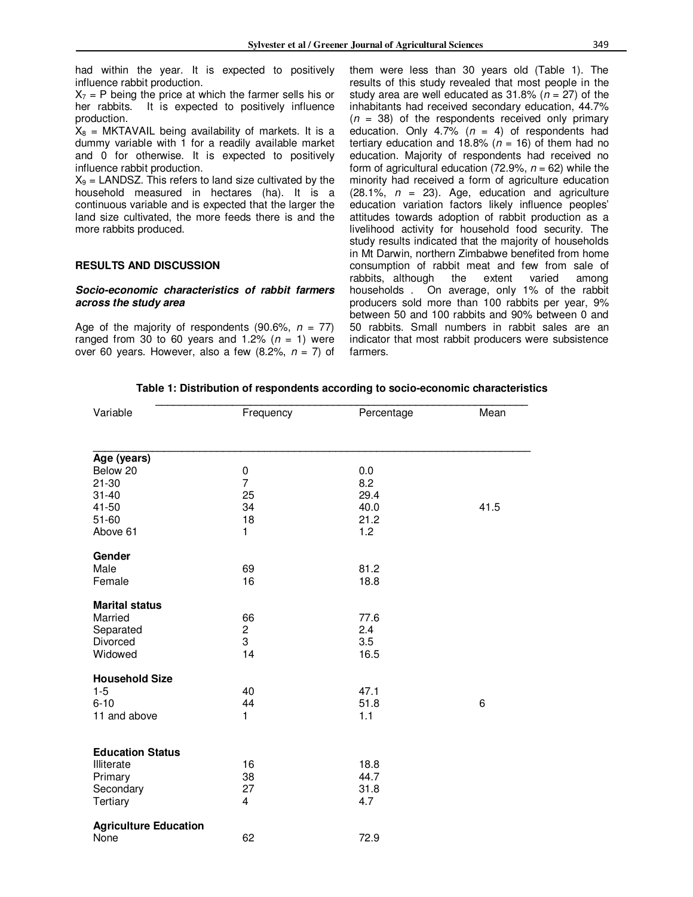had within the year. It is expected to positively influence rabbit production.

 $X_7$  = P being the price at which the farmer sells his or her rabbits. It is expected to positively influence production.

 $X_8$  = MKTAVAIL being availability of markets. It is a dummy variable with 1 for a readily available market and 0 for otherwise. It is expected to positively influence rabbit production.

 $X<sub>9</sub>$  = LANDSZ. This refers to land size cultivated by the household measured in hectares (ha). It is a continuous variable and is expected that the larger the land size cultivated, the more feeds there is and the more rabbits produced.

#### **RESULTS AND DISCUSSION**

#### *Socio-economic characteristics of rabbit farmers across the study area*

Age of the majority of respondents  $(90.6\% , n = 77)$ ranged from 30 to 60 years and 1.2%  $(n = 1)$  were over 60 years. However, also a few (8.2%, *n* = 7) of them were less than 30 years old (Table 1). The results of this study revealed that most people in the study area are well educated as  $31.8\%$  ( $n = 27$ ) of the inhabitants had received secondary education, 44.7%  $(n = 38)$  of the respondents received only primary education. Only 4.7%  $(n = 4)$  of respondents had tertiary education and 18.8% ( $n = 16$ ) of them had no education. Majority of respondents had received no form of agricultural education (72.9%,  $n = 62$ ) while the minority had received a form of agriculture education (28.1%,  $n = 23$ ). Age, education and agriculture education variation factors likely influence peoples' attitudes towards adoption of rabbit production as a livelihood activity for household food security. The study results indicated that the majority of households in Mt Darwin, northern Zimbabwe benefited from home consumption of rabbit meat and few from sale of rabbits, although the extent varied among households . On average, only 1% of the rabbit producers sold more than 100 rabbits per year, 9% between 50 and 100 rabbits and 90% between 0 and 50 rabbits. Small numbers in rabbit sales are an indicator that most rabbit producers were subsistence farmers.

#### **Table 1: Distribution of respondents according to socio-economic characteristics \_\_\_\_\_\_\_\_\_\_\_\_\_\_\_\_\_\_\_\_\_\_\_\_\_\_\_\_\_\_\_\_\_\_\_\_\_\_\_\_\_\_\_\_\_\_\_\_\_\_\_\_\_\_\_\_\_\_\_\_\_\_\_**

| Variable                     | Frequency      | Percentage | Mean |
|------------------------------|----------------|------------|------|
| Age (years)                  |                |            |      |
| Below 20                     | $\pmb{0}$      | 0.0        |      |
| $21 - 30$                    | $\overline{7}$ | 8.2        |      |
| $31 - 40$                    | 25             | 29.4       |      |
| 41-50                        | 34             | 40.0       | 41.5 |
| $51 - 60$                    | 18             | 21.2       |      |
| Above 61                     | 1              | 1.2        |      |
| Gender                       |                |            |      |
| Male                         | 69             | 81.2       |      |
| Female                       | 16             | 18.8       |      |
| <b>Marital status</b>        |                |            |      |
| Married                      | 66             | 77.6       |      |
| Separated                    | $\overline{c}$ | 2.4        |      |
| Divorced                     | 3              | 3.5        |      |
| Widowed                      | 14             | 16.5       |      |
| <b>Household Size</b>        |                |            |      |
| $1 - 5$                      | 40             | 47.1       |      |
| $6 - 10$                     | 44             | 51.8       | 6    |
| 11 and above                 | 1              | 1.1        |      |
| <b>Education Status</b>      |                |            |      |
| Illiterate                   | 16             | 18.8       |      |
|                              | 38             | 44.7       |      |
| Primary<br>Secondary         | 27             | 31.8       |      |
| Tertiary                     | 4              | 4.7        |      |
|                              |                |            |      |
| <b>Agriculture Education</b> |                |            |      |
| None                         | 62             | 72.9       |      |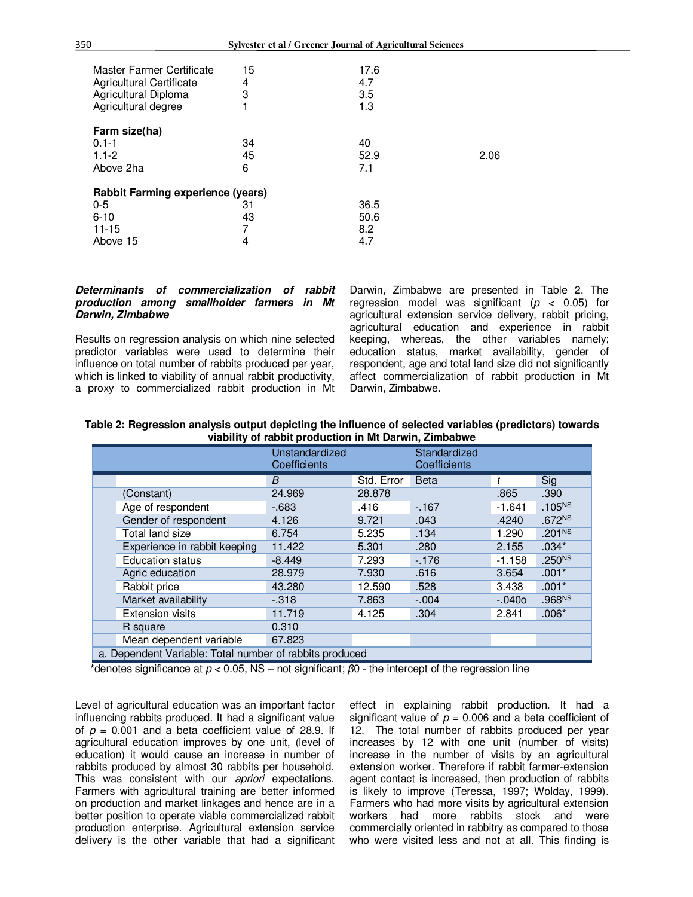| 350                               |    | Sylvester et al / Greener Journal of Agricultural Sciences |      |  |  |
|-----------------------------------|----|------------------------------------------------------------|------|--|--|
|                                   |    |                                                            |      |  |  |
| Master Farmer Certificate         | 15 | 17.6                                                       |      |  |  |
| Agricultural Certificate          | 4  | 4.7                                                        |      |  |  |
| Agricultural Diploma              | 3  | 3.5                                                        |      |  |  |
| Agricultural degree               | 1  | 1.3                                                        |      |  |  |
| Farm size(ha)                     |    |                                                            |      |  |  |
| $0.1 - 1$                         | 34 | 40                                                         |      |  |  |
| $1.1 - 2$                         | 45 | 52.9                                                       | 2.06 |  |  |
| Above 2ha                         | 6  | 7.1                                                        |      |  |  |
| Rabbit Farming experience (years) |    |                                                            |      |  |  |
| $0 - 5$                           | 31 | 36.5                                                       |      |  |  |
| $6 - 10$                          | 43 | 50.6                                                       |      |  |  |
| $11 - 15$                         | 7  | 8.2                                                        |      |  |  |
| Above 15                          | 4  | 4.7                                                        |      |  |  |
|                                   |    |                                                            |      |  |  |

#### *Determinants of commercialization of rabbit production among smallholder farmers in Mt Darwin, Zimbabwe*

Results on regression analysis on which nine selected predictor variables were used to determine their influence on total number of rabbits produced per year, which is linked to viability of annual rabbit productivity, a proxy to commercialized rabbit production in Mt

Darwin, Zimbabwe are presented in Table 2. The regression model was significant (*p* < 0.05) for agricultural extension service delivery, rabbit pricing, agricultural education and experience in rabbit keeping, whereas, the other variables namely; education status, market availability, gender of respondent, age and total land size did not significantly affect commercialization of rabbit production in Mt Darwin, Zimbabwe.

**Table 2: Regression analysis output depicting the influence of selected variables (predictors) towards viability of rabbit production in Mt Darwin, Zimbabwe**

|                                                         |                              | Unstandardized<br>Coefficients |            | Standardized<br>Coefficients |           |                    |  |  |  |
|---------------------------------------------------------|------------------------------|--------------------------------|------------|------------------------------|-----------|--------------------|--|--|--|
|                                                         |                              | В                              | Std. Error | <b>Beta</b>                  | t         | Sig                |  |  |  |
|                                                         | (Constant)                   | 24.969                         | 28,878     |                              | .865      | .390               |  |  |  |
|                                                         | Age of respondent            | $-683$                         | .416       | $-167$                       | $-1.641$  | .105 <sup>NS</sup> |  |  |  |
|                                                         | Gender of respondent         | 4.126                          | 9.721      | .043                         | .4240     | .672 <sup>NS</sup> |  |  |  |
|                                                         | Total land size              | 6.754                          | 5.235      | .134                         | 1.290     | .201 <sub>NS</sub> |  |  |  |
|                                                         | Experience in rabbit keeping | 11.422                         | 5.301      | .280                         | 2.155     | $.034*$            |  |  |  |
|                                                         | <b>Education status</b>      | $-8.449$                       | 7.293      | $-176$                       | $-1.158$  | .250 <sup>NS</sup> |  |  |  |
|                                                         | Agric education              | 28.979                         | 7.930      | .616                         | 3.654     | $.001*$            |  |  |  |
|                                                         | Rabbit price                 | 43.280                         | 12.590     | .528                         | 3.438     | $.001*$            |  |  |  |
|                                                         | Market availability          | $-.318$                        | 7.863      | $-.004$                      | $-.040$ o | .968 <sup>NS</sup> |  |  |  |
|                                                         | <b>Extension visits</b>      | 11.719                         | 4.125      | .304                         | 2.841     | $.006*$            |  |  |  |
|                                                         | R square                     | 0.310                          |            |                              |           |                    |  |  |  |
|                                                         | Mean dependent variable      | 67.823                         |            |                              |           |                    |  |  |  |
| a. Dependent Variable: Total number of rabbits produced |                              |                                |            |                              |           |                    |  |  |  |

 **\***denotes significance at *p* < 0.05, NS – not significant; *β*0 - the intercept of the regression line

Level of agricultural education was an important factor influencing rabbits produced. It had a significant value of  $p = 0.001$  and a beta coefficient value of 28.9. If agricultural education improves by one unit, (level of education) it would cause an increase in number of rabbits produced by almost 30 rabbits per household. This was consistent with our *apriori* expectations. Farmers with agricultural training are better informed on production and market linkages and hence are in a better position to operate viable commercialized rabbit production enterprise. Agricultural extension service delivery is the other variable that had a significant effect in explaining rabbit production. It had a significant value of  $p = 0.006$  and a beta coefficient of 12. The total number of rabbits produced per year increases by 12 with one unit (number of visits) increase in the number of visits by an agricultural extension worker. Therefore if rabbit farmer-extension agent contact is increased, then production of rabbits is likely to improve (Teressa, 1997; Wolday, 1999). Farmers who had more visits by agricultural extension workers had more rabbits stock and were commercially oriented in rabbitry as compared to those who were visited less and not at all. This finding is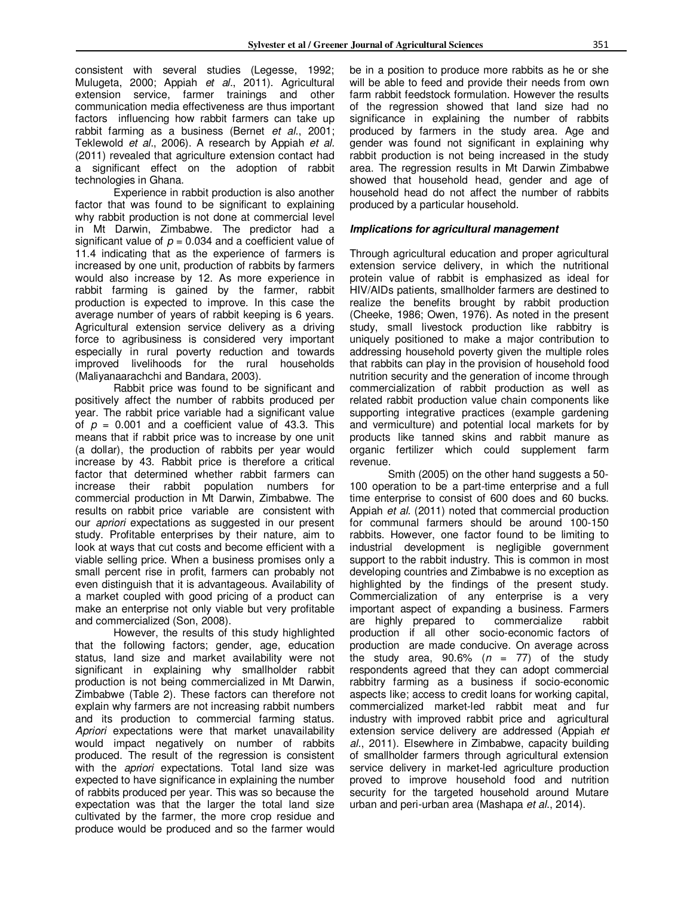consistent with several studies (Legesse, 1992; Mulugeta, 2000; Appiah *et al*., 2011). Agricultural extension service, farmer trainings and other communication media effectiveness are thus important factors influencing how rabbit farmers can take up rabbit farming as a business (Bernet *et al*., 2001; Teklewold *et al*., 2006). A research by Appiah *et al.* (2011) revealed that agriculture extension contact had a significant effect on the adoption of rabbit technologies in Ghana.

Experience in rabbit production is also another factor that was found to be significant to explaining why rabbit production is not done at commercial level in Mt Darwin, Zimbabwe. The predictor had a significant value of  $p = 0.034$  and a coefficient value of 11.4 indicating that as the experience of farmers is increased by one unit, production of rabbits by farmers would also increase by 12. As more experience in rabbit farming is gained by the farmer, rabbit production is expected to improve. In this case the average number of years of rabbit keeping is 6 years. Agricultural extension service delivery as a driving force to agribusiness is considered very important especially in rural poverty reduction and towards improved livelihoods for the rural households (Maliyanaarachchi and Bandara, 2003).

Rabbit price was found to be significant and positively affect the number of rabbits produced per year. The rabbit price variable had a significant value of  $p = 0.001$  and a coefficient value of 43.3. This means that if rabbit price was to increase by one unit (a dollar), the production of rabbits per year would increase by 43. Rabbit price is therefore a critical factor that determined whether rabbit farmers can increase their rabbit population numbers for commercial production in Mt Darwin, Zimbabwe. The results on rabbit price variable are consistent with our *apriori* expectations as suggested in our present study. Profitable enterprises by their nature, aim to look at ways that cut costs and become efficient with a viable selling price. When a business promises only a small percent rise in profit, farmers can probably not even distinguish that it is advantageous. Availability of a market coupled with good pricing of a product can make an enterprise not only viable but very profitable and commercialized (Son, 2008).

However, the results of this study highlighted that the following factors; gender, age, education status, land size and market availability were not significant in explaining why smallholder rabbit production is not being commercialized in Mt Darwin, Zimbabwe (Table 2). These factors can therefore not explain why farmers are not increasing rabbit numbers and its production to commercial farming status. *Apriori* expectations were that market unavailability would impact negatively on number of rabbits produced. The result of the regression is consistent with the *apriori* expectations. Total land size was expected to have significance in explaining the number of rabbits produced per year. This was so because the expectation was that the larger the total land size cultivated by the farmer, the more crop residue and produce would be produced and so the farmer would

be in a position to produce more rabbits as he or she will be able to feed and provide their needs from own farm rabbit feedstock formulation. However the results of the regression showed that land size had no significance in explaining the number of rabbits produced by farmers in the study area. Age and gender was found not significant in explaining why rabbit production is not being increased in the study area. The regression results in Mt Darwin Zimbabwe showed that household head, gender and age of household head do not affect the number of rabbits produced by a particular household.

#### *Implications for agricultural management*

Through agricultural education and proper agricultural extension service delivery, in which the nutritional protein value of rabbit is emphasized as ideal for HIV/AIDs patients, smallholder farmers are destined to realize the benefits brought by rabbit production (Cheeke, 1986; Owen, 1976). As noted in the present study, small livestock production like rabbitry is uniquely positioned to make a major contribution to addressing household poverty given the multiple roles that rabbits can play in the provision of household food nutrition security and the generation of income through commercialization of rabbit production as well as related rabbit production value chain components like supporting integrative practices (example gardening and vermiculture) and potential local markets for by products like tanned skins and rabbit manure as organic fertilizer which could supplement farm revenue.

Smith (2005) on the other hand suggests a 50- 100 operation to be a part-time enterprise and a full time enterprise to consist of 600 does and 60 bucks. Appiah *et al.* (2011) noted that commercial production for communal farmers should be around 100-150 rabbits. However, one factor found to be limiting to industrial development is negligible government support to the rabbit industry. This is common in most developing countries and Zimbabwe is no exception as highlighted by the findings of the present study. Commercialization of any enterprise is a very important aspect of expanding a business. Farmers are highly prepared to commercialize rabbit production if all other socio-economic factors of production are made conducive. On average across the study area,  $90.6\%$  ( $n = 77$ ) of the study respondents agreed that they can adopt commercial rabbitry farming as a business if socio-economic aspects like; access to credit loans for working capital, commercialized market-led rabbit meat and fur industry with improved rabbit price and agricultural extension service delivery are addressed (Appiah *et al*., 2011). Elsewhere in Zimbabwe, capacity building of smallholder farmers through agricultural extension service delivery in market-led agriculture production proved to improve household food and nutrition security for the targeted household around Mutare urban and peri-urban area (Mashapa *et al*., 2014).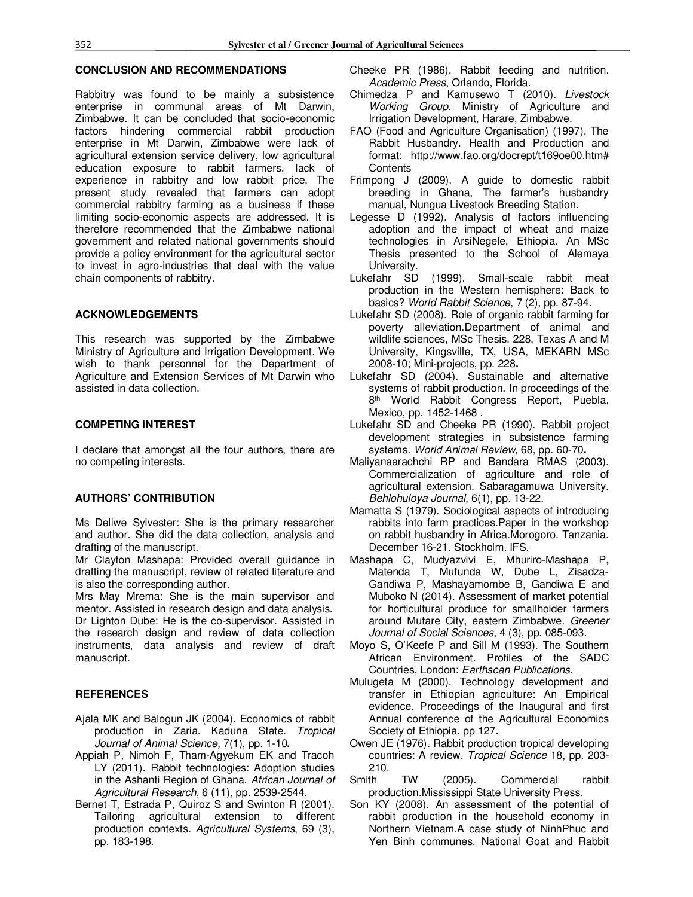#### **CONCLUSION AND RECOMMENDATIONS**

Rabbitry was found to be mainly a subsistence enterprise in communal areas of Mt Darwin, Zimbabwe. It can be concluded that socio-economic factors hindering commercial rabbit production enterprise in Mt Darwin, Zimbabwe were lack of agricultural extension service delivery, low agricultural education exposure to rabbit farmers, lack of experience in rabbitry and low rabbit price. The present study revealed that farmers can adopt commercial rabbitry farming as a business if these limiting socio-economic aspects are addressed. It is therefore recommended that the Zimbabwe national government and related national governments should provide a policy environment for the agricultural sector to invest in agro-industries that deal with the value chain components of rabbitry.

#### **ACKNOWLEDGEMENTS**

This research was supported by the Zimbabwe Ministry of Agriculture and Irrigation Development. We wish to thank personnel for the Department of Agriculture and Extension Services of Mt Darwin who assisted in data collection.

#### **COMPETING INTEREST**

I declare that amongst all the four authors, there are no competing interests.

#### **AUTHORS' CONTRIBUTION**

Ms Deliwe Sylvester: She is the primary researcher and author. She did the data collection, analysis and drafting of the manuscript.

Mr Clayton Mashapa: Provided overall guidance in drafting the manuscript, review of related literature and is also the corresponding author.

Mrs May Mrema: She is the main supervisor and mentor. Assisted in research design and data analysis. Dr Lighton Dube: He is the co-supervisor. Assisted in the research design and review of data collection instruments, data analysis and review of draft manuscript.

#### **REFERENCES**

- Ajala MK and Balogun JK (2004). Economics of rabbit production in Zaria. Kaduna State. *Tropical Journal of Animal Science,* 7(1), pp. 1-10**.**
- Appiah P, Nimoh F, Tham-Agyekum EK and Tracoh LY (2011). Rabbit technologies: Adoption studies in the Ashanti Region of Ghana. *African Journal of Agricultural Research,* 6 (11), pp. 2539-2544.
- Bernet T, Estrada P, Quiroz S and Swinton R (2001). Tailoring agricultural extension to different production contexts. *Agricultural Systems*, 69 (3), pp. 183-198.
- Cheeke PR (1986). Rabbit feeding and nutrition. *Academic Press*, Orlando, Florida.
- Chimedza P and Kamusewo T (2010). *Livestock Working Group*. Ministry of Agriculture and Irrigation Development, Harare, Zimbabwe.
- FAO (Food and Agriculture Organisation) (1997). The Rabbit Husbandry. Health and Production and format: http://www.fao.org/docrept/t169oe00.htm# **Contents**
- Frimpong J (2009). A guide to domestic rabbit breeding in Ghana, The farmer's husbandry manual, Nungua Livestock Breeding Station.
- Legesse D (1992). Analysis of factors influencing adoption and the impact of wheat and maize technologies in ArsiNegele, Ethiopia. An MSc Thesis presented to the School of Alemaya University.
- Lukefahr SD (1999). Small-scale rabbit meat production in the Western hemisphere: Back to basics? *World Rabbit Science*, 7 (2), pp. 87-94.
- Lukefahr SD (2008). Role of organic rabbit farming for poverty alleviation.Department of animal and wildlife sciences, MSc Thesis. 228, Texas A and M University, Kingsville, TX, USA, MEKARN MSc 2008-10; Mini-projects, pp. 228**.**
- Lukefahr SD (2004). Sustainable and alternative systems of rabbit production. In proceedings of the 8<sup>th</sup> World Rabbit Congress Report, Puebla, Mexico, pp. 1452-1468 .
- Lukefahr SD and Cheeke PR (1990). Rabbit project development strategies in subsistence farming systems. *World Animal Review*, 68, pp. 60-70**.**
- Maliyanaarachchi RP and Bandara RMAS (2003). Commercialization of agriculture and role of agricultural extension. Sabaragamuwa University. *Behlohuloya Journal*, 6(1), pp. 13-22.
- Mamatta S (1979). Sociological aspects of introducing rabbits into farm practices.Paper in the workshop on rabbit husbandry in Africa.Morogoro. Tanzania. December 16-21. Stockholm. IFS.
- Mashapa C, Mudyazvivi E, Mhuriro-Mashapa P, Matenda T, Mufunda W, Dube L, Zisadza-Gandiwa P, Mashayamombe B, Gandiwa E and Muboko N (2014). Assessment of market potential for horticultural produce for smallholder farmers around Mutare City, eastern Zimbabwe. *Greener Journal of Social Sciences*, 4 (3), pp. 085-093.
- Moyo S, O'Keefe P and Sill M (1993). The Southern African Environment. Profiles of the SADC Countries, London: *Earthscan Publications*.
- Mulugeta M (2000). Technology development and transfer in Ethiopian agriculture: An Empirical evidence. Proceedings of the Inaugural and first Annual conference of the Agricultural Economics Society of Ethiopia. pp 127**.**
- Owen JE (1976). Rabbit production tropical developing countries: A review. *Tropical Science* 18, pp. 203- 210.
- Smith TW (2005). Commercial rabbit production.Mississippi State University Press.
- Son KY (2008). An assessment of the potential of rabbit production in the household economy in Northern Vietnam.A case study of NinhPhuc and Yen Binh communes. National Goat and Rabbit